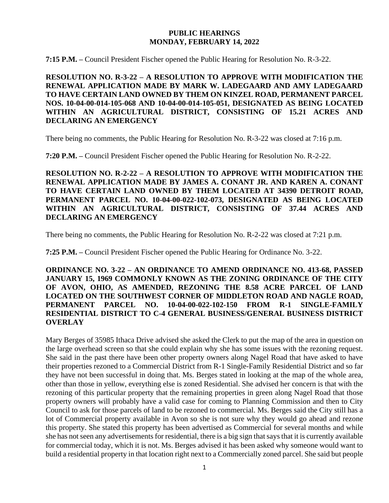### **PUBLIC HEARINGS MONDAY, FEBRUARY 14, 2022**

**7:15 P.M. –** Council President Fischer opened the Public Hearing for Resolution No. R-3-22.

**RESOLUTION NO. R-3-22 – A RESOLUTION TO APPROVE WITH MODIFICATION THE RENEWAL APPLICATION MADE BY MARK W. LADEGAARD AND AMY LADEGAARD TO HAVE CERTAIN LAND OWNED BY THEM ON KINZEL ROAD, PERMANENT PARCEL NOS. 10-04-00-014-105-068 AND 10-04-00-014-105-051, DESIGNATED AS BEING LOCATED WITHIN AN AGRICULTURAL DISTRICT, CONSISTING OF 15.21 ACRES AND DECLARING AN EMERGENCY**

There being no comments, the Public Hearing for Resolution No. R-3-22 was closed at 7:16 p.m.

**7:20 P.M. –** Council President Fischer opened the Public Hearing for Resolution No. R-2-22.

**RESOLUTION NO. R-2-22 – A RESOLUTION TO APPROVE WITH MODIFICATION THE RENEWAL APPLICATION MADE BY JAMES A. CONANT JR. AND KAREN A. CONANT TO HAVE CERTAIN LAND OWNED BY THEM LOCATED AT 34390 DETROIT ROAD, PERMANENT PARCEL NO. 10-04-00-022-102-073, DESIGNATED AS BEING LOCATED WITHIN AN AGRICULTURAL DISTRICT, CONSISTING OF 37.44 ACRES AND DECLARING AN EMERGENCY**

There being no comments, the Public Hearing for Resolution No. R-2-22 was closed at 7:21 p.m.

**7:25 P.M. –** Council President Fischer opened the Public Hearing for Ordinance No. 3-22.

**ORDINANCE NO. 3-22 – AN ORDINANCE TO AMEND ORDINANCE NO. 413-68, PASSED JANUARY 15, 1969 COMMONLY KNOWN AS THE ZONING ORDINANCE OF THE CITY OF AVON, OHIO, AS AMENDED, REZONING THE 8.58 ACRE PARCEL OF LAND LOCATED ON THE SOUTHWEST CORNER OF MIDDLETON ROAD AND NAGLE ROAD, PERMANENT PARCEL NO. 10-04-00-022-102-150 FROM R-1 SINGLE-FAMILY RESIDENTIAL DISTRICT TO C-4 GENERAL BUSINESS/GENERAL BUSINESS DISTRICT OVERLAY**

Mary Berges of 35985 Ithaca Drive advised she asked the Clerk to put the map of the area in question on the large overhead screen so that she could explain why she has some issues with the rezoning request. She said in the past there have been other property owners along Nagel Road that have asked to have their properties rezoned to a Commercial District from R-1 Single-Family Residential District and so far they have not been successful in doing that. Ms. Berges stated in looking at the map of the whole area, other than those in yellow, everything else is zoned Residential. She advised her concern is that with the rezoning of this particular property that the remaining properties in green along Nagel Road that those property owners will probably have a valid case for coming to Planning Commission and then to City Council to ask for those parcels of land to be rezoned to commercial. Ms. Berges said the City still has a lot of Commercial property available in Avon so she is not sure why they would go ahead and rezone this property. She stated this property has been advertised as Commercial for several months and while she has not seen any advertisements for residential, there is a big sign that says that it is currently available for commercial today, which it is not. Ms. Berges advised it has been asked why someone would want to build a residential property in that location right next to a Commercially zoned parcel. She said but people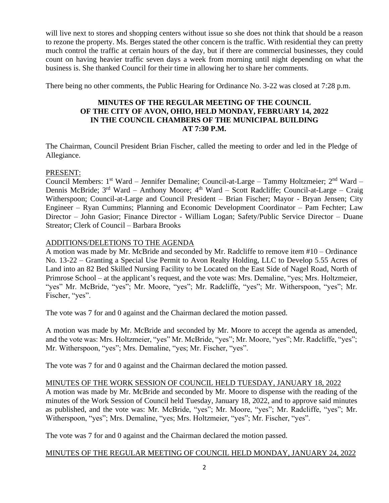will live next to stores and shopping centers without issue so she does not think that should be a reason to rezone the property. Ms. Berges stated the other concern is the traffic. With residential they can pretty much control the traffic at certain hours of the day, but if there are commercial businesses, they could count on having heavier traffic seven days a week from morning until night depending on what the business is. She thanked Council for their time in allowing her to share her comments.

There being no other comments, the Public Hearing for Ordinance No. 3-22 was closed at 7:28 p.m.

## **MINUTES OF THE REGULAR MEETING OF THE COUNCIL OF THE CITY OF AVON, OHIO, HELD MONDAY, FEBRUARY 14, 2022 IN THE COUNCIL CHAMBERS OF THE MUNICIPAL BUILDING AT 7:30 P.M.**

The Chairman, Council President Brian Fischer, called the meeting to order and led in the Pledge of Allegiance.

### PRESENT:

Council Members: 1<sup>st</sup> Ward – Jennifer Demaline; Council-at-Large – Tammy Holtzmeier; 2<sup>nd</sup> Ward – Dennis McBride; 3<sup>rd</sup> Ward – Anthony Moore; 4<sup>th</sup> Ward – Scott Radcliffe; Council-at-Large – Craig Witherspoon; Council-at-Large and Council President – Brian Fischer; Mayor - Bryan Jensen; City Engineer – Ryan Cummins; Planning and Economic Development Coordinator – Pam Fechter; Law Director – John Gasior; Finance Director - William Logan; Safety/Public Service Director – Duane Streator; Clerk of Council – Barbara Brooks

## ADDITIONS/DELETIONS TO THE AGENDA

A motion was made by Mr. McBride and seconded by Mr. Radcliffe to remove item #10 – Ordinance No. 13-22 – Granting a Special Use Permit to Avon Realty Holding, LLC to Develop 5.55 Acres of Land into an 82 Bed Skilled Nursing Facility to be Located on the East Side of Nagel Road, North of Primrose School – at the applicant's request, and the vote was: Mrs. Demaline, "yes; Mrs. Holtzmeier, "yes" Mr. McBride, "yes"; Mr. Moore, "yes"; Mr. Radcliffe, "yes"; Mr. Witherspoon, "yes"; Mr. Fischer, "yes".

The vote was 7 for and 0 against and the Chairman declared the motion passed.

A motion was made by Mr. McBride and seconded by Mr. Moore to accept the agenda as amended, and the vote was: Mrs. Holtzmeier, "yes" Mr. McBride, "yes"; Mr. Moore, "yes"; Mr. Radcliffe, "yes"; Mr. Witherspoon, "yes"; Mrs. Demaline, "yes; Mr. Fischer, "yes".

The vote was 7 for and 0 against and the Chairman declared the motion passed.

### MINUTES OF THE WORK SESSION OF COUNCIL HELD TUESDAY, JANUARY 18, 2022

A motion was made by Mr. McBride and seconded by Mr. Moore to dispense with the reading of the minutes of the Work Session of Council held Tuesday, January 18, 2022, and to approve said minutes as published, and the vote was: Mr. McBride, "yes"; Mr. Moore, "yes"; Mr. Radcliffe, "yes"; Mr. Witherspoon, "yes"; Mrs. Demaline, "yes; Mrs. Holtzmeier, "yes"; Mr. Fischer, "yes".

The vote was 7 for and 0 against and the Chairman declared the motion passed.

### MINUTES OF THE REGULAR MEETING OF COUNCIL HELD MONDAY, JANUARY 24, 2022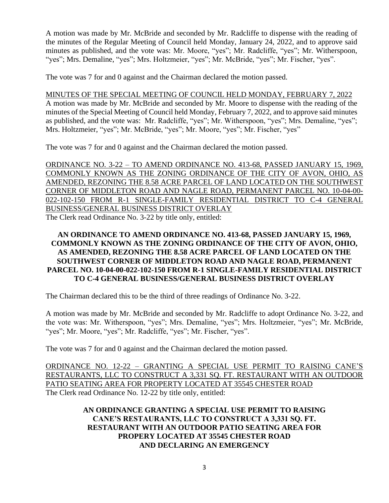A motion was made by Mr. McBride and seconded by Mr. Radcliffe to dispense with the reading of the minutes of the Regular Meeting of Council held Monday, January 24, 2022, and to approve said minutes as published, and the vote was: Mr. Moore, "yes"; Mr. Radcliffe, "yes"; Mr. Witherspoon, "yes"; Mrs. Demaline, "yes"; Mrs. Holtzmeier, "yes"; Mr. McBride, "yes"; Mr. Fischer, "yes".

The vote was 7 for and 0 against and the Chairman declared the motion passed.

#### MINUTES OF THE SPECIAL MEETING OF COUNCIL HELD MONDAY, FEBRUARY 7, 2022

A motion was made by Mr. McBride and seconded by Mr. Moore to dispense with the reading of the minutes of the Special Meeting of Council held Monday, February 7, 2022, and to approve said minutes as published, and the vote was: Mr. Radcliffe, "yes"; Mr. Witherspoon, "yes"; Mrs. Demaline, "yes"; Mrs. Holtzmeier, "yes"; Mr. McBride, "yes"; Mr. Moore, "yes"; Mr. Fischer, "yes"

The vote was 7 for and 0 against and the Chairman declared the motion passed.

ORDINANCE NO. 3-22 – TO AMEND ORDINANCE NO. 413-68, PASSED JANUARY 15, 1969, COMMONLY KNOWN AS THE ZONING ORDINANCE OF THE CITY OF AVON, OHIO, AS AMENDED, REZONING THE 8.58 ACRE PARCEL OF LAND LOCATED ON THE SOUTHWEST CORNER OF MIDDLETON ROAD AND NAGLE ROAD, PERMANENT PARCEL NO. 10-04-00- 022-102-150 FROM R-1 SINGLE-FAMILY RESIDENTIAL DISTRICT TO C-4 GENERAL BUSINESS/GENERAL BUSINESS DISTRICT OVERLAY The Clerk read Ordinance No. 3-22 by title only, entitled:

## **AN ORDINANCE TO AMEND ORDINANCE NO. 413-68, PASSED JANUARY 15, 1969, COMMONLY KNOWN AS THE ZONING ORDINANCE OF THE CITY OF AVON, OHIO, AS AMENDED, REZONING THE 8.58 ACRE PARCEL OF LAND LOCATED ON THE SOUTHWEST CORNER OF MIDDLETON ROAD AND NAGLE ROAD, PERMANENT PARCEL NO. 10-04-00-022-102-150 FROM R-1 SINGLE-FAMILY RESIDENTIAL DISTRICT TO C-4 GENERAL BUSINESS/GENERAL BUSINESS DISTRICT OVERLAY**

The Chairman declared this to be the third of three readings of Ordinance No. 3-22.

A motion was made by Mr. McBride and seconded by Mr. Radcliffe to adopt Ordinance No. 3-22, and the vote was: Mr. Witherspoon, "yes"; Mrs. Demaline, "yes"; Mrs. Holtzmeier, "yes"; Mr. McBride, "yes"; Mr. Moore, "yes"; Mr. Radcliffe, "yes"; Mr. Fischer, "yes".

The vote was 7 for and 0 against and the Chairman declared the motion passed.

ORDINANCE NO. 12-22 – GRANTING A SPECIAL USE PERMIT TO RAISING CANE'S RESTAURANTS, LLC TO CONSTRUCT A 3,331 SQ. FT. RESTAURANT WITH AN OUTDOOR PATIO SEATING AREA FOR PROPERTY LOCATED AT 35545 CHESTER ROAD The Clerk read Ordinance No. 12-22 by title only, entitled:

# **AN ORDINANCE GRANTING A SPECIAL USE PERMIT TO RAISING CANE'S RESTAURANTS, LLC TO CONSTRUCT A 3,331 SQ. FT. RESTAURANT WITH AN OUTDOOR PATIO SEATING AREA FOR PROPERY LOCATED AT 35545 CHESTER ROAD AND DECLARING AN EMERGENCY**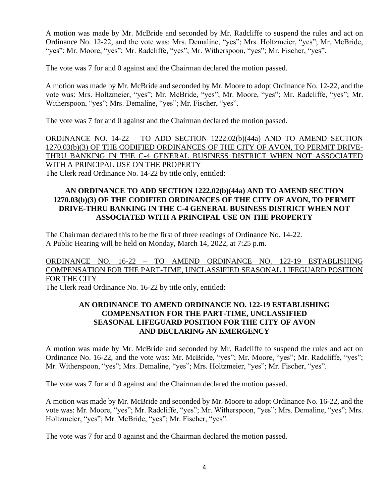A motion was made by Mr. McBride and seconded by Mr. Radcliffe to suspend the rules and act on Ordinance No. 12-22, and the vote was: Mrs. Demaline, "yes"; Mrs. Holtzmeier, "yes"; Mr. McBride, "yes"; Mr. Moore, "yes"; Mr. Radcliffe, "yes"; Mr. Witherspoon, "yes"; Mr. Fischer, "yes".

The vote was 7 for and 0 against and the Chairman declared the motion passed.

A motion was made by Mr. McBride and seconded by Mr. Moore to adopt Ordinance No. 12-22, and the vote was: Mrs. Holtzmeier, "yes"; Mr. McBride, "yes"; Mr. Moore, "yes"; Mr. Radcliffe, "yes"; Mr. Witherspoon, "yes"; Mrs. Demaline, "yes"; Mr. Fischer, "yes".

The vote was 7 for and 0 against and the Chairman declared the motion passed.

ORDINANCE NO. 14-22 – TO ADD SECTION 1222.02(b)(44a) AND TO AMEND SECTION 1270.03(b)(3) OF THE CODIFIED ORDINANCES OF THE CITY OF AVON, TO PERMIT DRIVE-THRU BANKING IN THE C-4 GENERAL BUSINESS DISTRICT WHEN NOT ASSOCIATED WITH A PRINCIPAL USE ON THE PROPERTY

The Clerk read Ordinance No. 14-22 by title only, entitled:

## **AN ORDINANCE TO ADD SECTION 1222.02(b)(44a) AND TO AMEND SECTION 1270.03(b)(3) OF THE CODIFIED ORDINANCES OF THE CITY OF AVON, TO PERMIT DRIVE-THRU BANKING IN THE C-4 GENERAL BUSINESS DISTRICT WHEN NOT ASSOCIATED WITH A PRINCIPAL USE ON THE PROPERTY**

The Chairman declared this to be the first of three readings of Ordinance No. 14-22. A Public Hearing will be held on Monday, March 14, 2022, at 7:25 p.m.

ORDINANCE NO. 16-22 – TO AMEND ORDINANCE NO. 122-19 ESTABLISHING COMPENSATION FOR THE PART-TIME, UNCLASSIFIED SEASONAL LIFEGUARD POSITION FOR THE CITY

The Clerk read Ordinance No. 16-22 by title only, entitled:

## **AN ORDINANCE TO AMEND ORDINANCE NO. 122-19 ESTABLISHING COMPENSATION FOR THE PART-TIME, UNCLASSIFIED SEASONAL LIFEGUARD POSITION FOR THE CITY OF AVON AND DECLARING AN EMERGENCY**

A motion was made by Mr. McBride and seconded by Mr. Radcliffe to suspend the rules and act on Ordinance No. 16-22, and the vote was: Mr. McBride, "yes"; Mr. Moore, "yes"; Mr. Radcliffe, "yes"; Mr. Witherspoon, "yes"; Mrs. Demaline, "yes"; Mrs. Holtzmeier, "yes"; Mr. Fischer, "yes".

The vote was 7 for and 0 against and the Chairman declared the motion passed.

A motion was made by Mr. McBride and seconded by Mr. Moore to adopt Ordinance No. 16-22, and the vote was: Mr. Moore, "yes"; Mr. Radcliffe, "yes"; Mr. Witherspoon, "yes"; Mrs. Demaline, "yes"; Mrs. Holtzmeier, "yes"; Mr. McBride, "yes"; Mr. Fischer, "yes".

The vote was 7 for and 0 against and the Chairman declared the motion passed.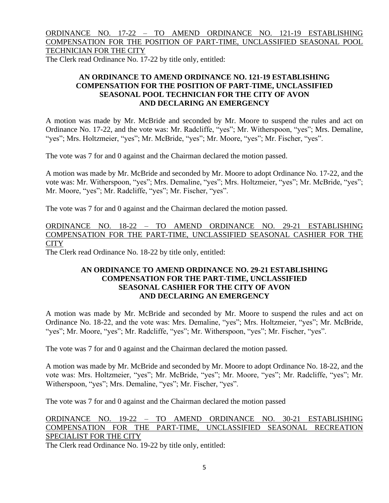# ORDINANCE NO. 17-22 – TO AMEND ORDINANCE NO. 121-19 ESTABLISHING COMPENSATION FOR THE POSITION OF PART-TIME, UNCLASSIFIED SEASONAL POOL TECHNICIAN FOR THE CITY

The Clerk read Ordinance No. 17-22 by title only, entitled:

# **AN ORDINANCE TO AMEND ORDINANCE NO. 121-19 ESTABLISHING COMPENSATION FOR THE POSITION OF PART-TIME, UNCLASSIFIED SEASONAL POOL TECHNICIAN FOR THE CITY OF AVON AND DECLARING AN EMERGENCY**

A motion was made by Mr. McBride and seconded by Mr. Moore to suspend the rules and act on Ordinance No. 17-22, and the vote was: Mr. Radcliffe, "yes"; Mr. Witherspoon, "yes"; Mrs. Demaline, "yes"; Mrs. Holtzmeier, "yes"; Mr. McBride, "yes"; Mr. Moore, "yes"; Mr. Fischer, "yes".

The vote was 7 for and 0 against and the Chairman declared the motion passed.

A motion was made by Mr. McBride and seconded by Mr. Moore to adopt Ordinance No. 17-22, and the vote was: Mr. Witherspoon, "yes"; Mrs. Demaline, "yes"; Mrs. Holtzmeier, "yes"; Mr. McBride, "yes"; Mr. Moore, "yes"; Mr. Radcliffe, "yes"; Mr. Fischer, "yes".

The vote was 7 for and 0 against and the Chairman declared the motion passed.

ORDINANCE NO. 18-22 – TO AMEND ORDINANCE NO. 29-21 ESTABLISHING COMPENSATION FOR THE PART-TIME, UNCLASSIFIED SEASONAL CASHIER FOR THE **CITY** 

The Clerk read Ordinance No. 18-22 by title only, entitled:

## **AN ORDINANCE TO AMEND ORDINANCE NO. 29-21 ESTABLISHING COMPENSATION FOR THE PART-TIME, UNCLASSIFIED SEASONAL CASHIER FOR THE CITY OF AVON AND DECLARING AN EMERGENCY**

A motion was made by Mr. McBride and seconded by Mr. Moore to suspend the rules and act on Ordinance No. 18-22, and the vote was: Mrs. Demaline, "yes"; Mrs. Holtzmeier, "yes"; Mr. McBride, "yes"; Mr. Moore, "yes"; Mr. Radcliffe, "yes"; Mr. Witherspoon, "yes"; Mr. Fischer, "yes".

The vote was 7 for and 0 against and the Chairman declared the motion passed.

A motion was made by Mr. McBride and seconded by Mr. Moore to adopt Ordinance No. 18-22, and the vote was: Mrs. Holtzmeier, "yes"; Mr. McBride, "yes"; Mr. Moore, "yes"; Mr. Radcliffe, "yes"; Mr. Witherspoon, "yes"; Mrs. Demaline, "yes"; Mr. Fischer, "yes".

The vote was 7 for and 0 against and the Chairman declared the motion passed

# ORDINANCE NO. 19-22 – TO AMEND ORDINANCE NO. 30-21 ESTABLISHING COMPENSATION FOR THE PART-TIME, UNCLASSIFIED SEASONAL RECREATION SPECIALIST FOR THE CITY

The Clerk read Ordinance No. 19-22 by title only, entitled: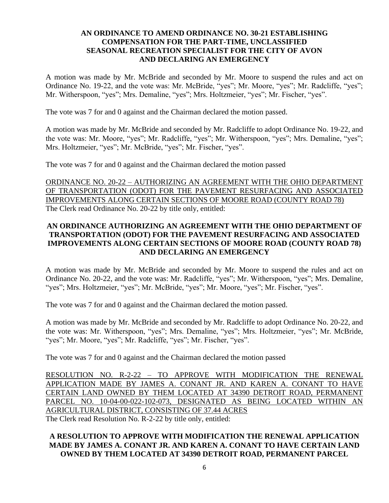## **AN ORDINANCE TO AMEND ORDINANCE NO. 30-21 ESTABLISHING COMPENSATION FOR THE PART-TIME, UNCLASSIFIED SEASONAL RECREATION SPECIALIST FOR THE CITY OF AVON AND DECLARING AN EMERGENCY**

A motion was made by Mr. McBride and seconded by Mr. Moore to suspend the rules and act on Ordinance No. 19-22, and the vote was: Mr. McBride, "yes"; Mr. Moore, "yes"; Mr. Radcliffe, "yes"; Mr. Witherspoon, "yes"; Mrs. Demaline, "yes"; Mrs. Holtzmeier, "yes"; Mr. Fischer, "yes".

The vote was 7 for and 0 against and the Chairman declared the motion passed.

A motion was made by Mr. McBride and seconded by Mr. Radcliffe to adopt Ordinance No. 19-22, and the vote was: Mr. Moore, "yes"; Mr. Radcliffe, "yes"; Mr. Witherspoon, "yes"; Mrs. Demaline, "yes"; Mrs. Holtzmeier, "yes"; Mr. McBride, "yes"; Mr. Fischer, "yes".

The vote was 7 for and 0 against and the Chairman declared the motion passed

ORDINANCE NO. 20-22 – AUTHORIZING AN AGREEMENT WITH THE OHIO DEPARTMENT OF TRANSPORTATION (ODOT) FOR THE PAVEMENT RESURFACING AND ASSOCIATED IMPROVEMENTS ALONG CERTAIN SECTIONS OF MOORE ROAD (COUNTY ROAD 78) The Clerk read Ordinance No. 20-22 by title only, entitled:

# **AN ORDINANCE AUTHORIZING AN AGREEMENT WITH THE OHIO DEPARTMENT OF TRANSPORTATION (ODOT) FOR THE PAVEMENT RESURFACING AND ASSOCIATED IMPROVEMENTS ALONG CERTAIN SECTIONS OF MOORE ROAD (COUNTY ROAD 78) AND DECLARING AN EMERGENCY**

A motion was made by Mr. McBride and seconded by Mr. Moore to suspend the rules and act on Ordinance No. 20-22, and the vote was: Mr. Radcliffe, "yes"; Mr. Witherspoon, "yes"; Mrs. Demaline, "yes"; Mrs. Holtzmeier, "yes"; Mr. McBride, "yes"; Mr. Moore, "yes"; Mr. Fischer, "yes".

The vote was 7 for and 0 against and the Chairman declared the motion passed.

A motion was made by Mr. McBride and seconded by Mr. Radcliffe to adopt Ordinance No. 20-22, and the vote was: Mr. Witherspoon, "yes"; Mrs. Demaline, "yes"; Mrs. Holtzmeier, "yes"; Mr. McBride, "yes"; Mr. Moore, "yes"; Mr. Radcliffe, "yes"; Mr. Fischer, "yes".

The vote was 7 for and 0 against and the Chairman declared the motion passed

RESOLUTION NO. R-2-22 – TO APPROVE WITH MODIFICATION THE RENEWAL APPLICATION MADE BY JAMES A. CONANT JR. AND KAREN A. CONANT TO HAVE CERTAIN LAND OWNED BY THEM LOCATED AT 34390 DETROIT ROAD, PERMANENT PARCEL NO. 10-04-00-022-102-073, DESIGNATED AS BEING LOCATED WITHIN AN AGRICULTURAL DISTRICT, CONSISTING OF 37.44 ACRES The Clerk read Resolution No. R-2-22 by title only, entitled:

# **A RESOLUTION TO APPROVE WITH MODIFICATION THE RENEWAL APPLICATION MADE BY JAMES A. CONANT JR. AND KAREN A. CONANT TO HAVE CERTAIN LAND OWNED BY THEM LOCATED AT 34390 DETROIT ROAD, PERMANENT PARCEL**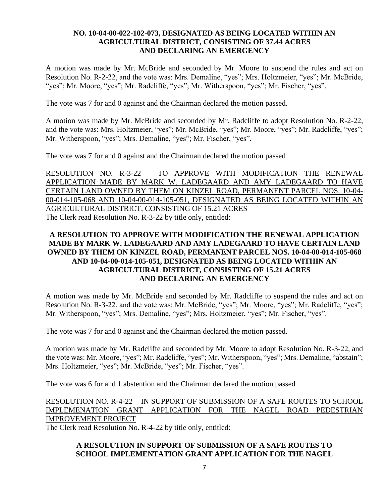## **NO. 10-04-00-022-102-073, DESIGNATED AS BEING LOCATED WITHIN AN AGRICULTURAL DISTRICT, CONSISTING OF 37.44 ACRES AND DECLARING AN EMERGENCY**

A motion was made by Mr. McBride and seconded by Mr. Moore to suspend the rules and act on Resolution No. R-2-22, and the vote was: Mrs. Demaline, "yes"; Mrs. Holtzmeier, "yes"; Mr. McBride, "yes"; Mr. Moore, "yes"; Mr. Radcliffe, "yes"; Mr. Witherspoon, "yes"; Mr. Fischer, "yes".

The vote was 7 for and 0 against and the Chairman declared the motion passed.

A motion was made by Mr. McBride and seconded by Mr. Radcliffe to adopt Resolution No. R-2-22, and the vote was: Mrs. Holtzmeier, "yes"; Mr. McBride, "yes"; Mr. Moore, "yes"; Mr. Radcliffe, "yes"; Mr. Witherspoon, "yes"; Mrs. Demaline, "yes"; Mr. Fischer, "yes".

The vote was 7 for and 0 against and the Chairman declared the motion passed

RESOLUTION NO. R-3-22 – TO APPROVE WITH MODIFICATION THE RENEWAL APPLICATION MADE BY MARK W. LADEGAARD AND AMY LADEGAARD TO HAVE CERTAIN LAND OWNED BY THEM ON KINZEL ROAD, PERMANENT PARCEL NOS. 10-04- 00-014-105-068 AND 10-04-00-014-105-051, DESIGNATED AS BEING LOCATED WITHIN AN AGRICULTURAL DISTRICT, CONSISTING OF 15.21 ACRES The Clerk read Resolution No. R-3-22 by title only, entitled:

# **A RESOLUTION TO APPROVE WITH MODIFICATION THE RENEWAL APPLICATION MADE BY MARK W. LADEGAARD AND AMY LADEGAARD TO HAVE CERTAIN LAND OWNED BY THEM ON KINZEL ROAD, PERMANENT PARCEL NOS. 10-04-00-014-105-068 AND 10-04-00-014-105-051, DESIGNATED AS BEING LOCATED WITHIN AN AGRICULTURAL DISTRICT, CONSISTING OF 15.21 ACRES AND DECLARING AN EMERGENCY**

A motion was made by Mr. McBride and seconded by Mr. Radcliffe to suspend the rules and act on Resolution No. R-3-22, and the vote was: Mr. McBride, "yes"; Mr. Moore, "yes"; Mr. Radcliffe, "yes"; Mr. Witherspoon, "yes"; Mrs. Demaline, "yes"; Mrs. Holtzmeier, "yes"; Mr. Fischer, "yes".

The vote was 7 for and 0 against and the Chairman declared the motion passed.

A motion was made by Mr. Radcliffe and seconded by Mr. Moore to adopt Resolution No. R-3-22, and the vote was: Mr. Moore, "yes"; Mr. Radcliffe, "yes"; Mr. Witherspoon, "yes"; Mrs. Demaline, "abstain"; Mrs. Holtzmeier, "yes"; Mr. McBride, "yes"; Mr. Fischer, "yes".

The vote was 6 for and 1 abstention and the Chairman declared the motion passed

RESOLUTION NO. R-4-22 – IN SUPPORT OF SUBMISSION OF A SAFE ROUTES TO SCHOOL IMPLEMENATION GRANT APPLICATION FOR THE NAGEL ROAD PEDESTRIAN IMPROVEMENT PROJECT

The Clerk read Resolution No. R-4-22 by title only, entitled:

## **A RESOLUTION IN SUPPORT OF SUBMISSION OF A SAFE ROUTES TO SCHOOL IMPLEMENTATION GRANT APPLICATION FOR THE NAGEL**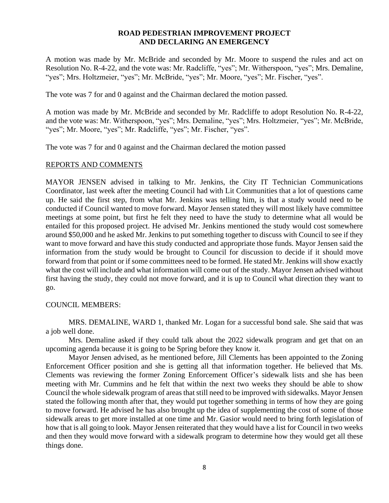#### **ROAD PEDESTRIAN IMPROVEMENT PROJECT AND DECLARING AN EMERGENCY**

A motion was made by Mr. McBride and seconded by Mr. Moore to suspend the rules and act on Resolution No. R-4-22, and the vote was: Mr. Radcliffe, "yes"; Mr. Witherspoon, "yes"; Mrs. Demaline, "yes"; Mrs. Holtzmeier, "yes"; Mr. McBride, "yes"; Mr. Moore, "yes"; Mr. Fischer, "yes".

The vote was 7 for and 0 against and the Chairman declared the motion passed.

A motion was made by Mr. McBride and seconded by Mr. Radcliffe to adopt Resolution No. R-4-22, and the vote was: Mr. Witherspoon, "yes"; Mrs. Demaline, "yes"; Mrs. Holtzmeier, "yes"; Mr. McBride, "yes"; Mr. Moore, "yes"; Mr. Radcliffe, "yes"; Mr. Fischer, "yes".

The vote was 7 for and 0 against and the Chairman declared the motion passed

#### REPORTS AND COMMENTS

MAYOR JENSEN advised in talking to Mr. Jenkins, the City IT Technician Communications Coordinator, last week after the meeting Council had with Lit Communities that a lot of questions came up. He said the first step, from what Mr. Jenkins was telling him, is that a study would need to be conducted if Council wanted to move forward. Mayor Jensen stated they will most likely have committee meetings at some point, but first he felt they need to have the study to determine what all would be entailed for this proposed project. He advised Mr. Jenkins mentioned the study would cost somewhere around \$50,000 and he asked Mr. Jenkins to put something together to discuss with Council to see if they want to move forward and have this study conducted and appropriate those funds. Mayor Jensen said the information from the study would be brought to Council for discussion to decide if it should move forward from that point or if some committees need to be formed. He stated Mr. Jenkins will show exactly what the cost will include and what information will come out of the study. Mayor Jensen advised without first having the study, they could not move forward, and it is up to Council what direction they want to go.

### COUNCIL MEMBERS:

MRS. DEMALINE, WARD 1, thanked Mr. Logan for a successful bond sale. She said that was a job well done.

Mrs. Demaline asked if they could talk about the 2022 sidewalk program and get that on an upcoming agenda because it is going to be Spring before they know it.

Mayor Jensen advised, as he mentioned before, Jill Clements has been appointed to the Zoning Enforcement Officer position and she is getting all that information together. He believed that Ms. Clements was reviewing the former Zoning Enforcement Officer's sidewalk lists and she has been meeting with Mr. Cummins and he felt that within the next two weeks they should be able to show Council the whole sidewalk program of areas that still need to be improved with sidewalks. Mayor Jensen stated the following month after that, they would put together something in terms of how they are going to move forward. He advised he has also brought up the idea of supplementing the cost of some of those sidewalk areas to get more installed at one time and Mr. Gasior would need to bring forth legislation of how that is all going to look. Mayor Jensen reiterated that they would have a list for Council in two weeks and then they would move forward with a sidewalk program to determine how they would get all these things done.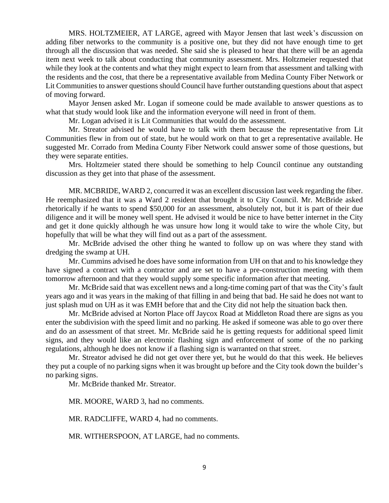MRS. HOLTZMEIER, AT LARGE, agreed with Mayor Jensen that last week's discussion on adding fiber networks to the community is a positive one, but they did not have enough time to get through all the discussion that was needed. She said she is pleased to hear that there will be an agenda item next week to talk about conducting that community assessment. Mrs. Holtzmeier requested that while they look at the contents and what they might expect to learn from that assessment and talking with the residents and the cost, that there be a representative available from Medina County Fiber Network or Lit Communities to answer questions should Council have further outstanding questions about that aspect of moving forward.

Mayor Jensen asked Mr. Logan if someone could be made available to answer questions as to what that study would look like and the information everyone will need in front of them.

Mr. Logan advised it is Lit Communities that would do the assessment.

Mr. Streator advised he would have to talk with them because the representative from Lit Communities flew in from out of state, but he would work on that to get a representative available. He suggested Mr. Corrado from Medina County Fiber Network could answer some of those questions, but they were separate entities.

Mrs. Holtzmeier stated there should be something to help Council continue any outstanding discussion as they get into that phase of the assessment.

MR. MCBRIDE, WARD 2, concurred it was an excellent discussion last week regarding the fiber. He reemphasized that it was a Ward 2 resident that brought it to City Council. Mr. McBride asked rhetorically if he wants to spend \$50,000 for an assessment, absolutely not, but it is part of their due diligence and it will be money well spent. He advised it would be nice to have better internet in the City and get it done quickly although he was unsure how long it would take to wire the whole City, but hopefully that will be what they will find out as a part of the assessment.

Mr. McBride advised the other thing he wanted to follow up on was where they stand with dredging the swamp at UH.

Mr. Cummins advised he does have some information from UH on that and to his knowledge they have signed a contract with a contractor and are set to have a pre-construction meeting with them tomorrow afternoon and that they would supply some specific information after that meeting.

Mr. McBride said that was excellent news and a long-time coming part of that was the City's fault years ago and it was years in the making of that filling in and being that bad. He said he does not want to just splash mud on UH as it was EMH before that and the City did not help the situation back then.

Mr. McBride advised at Norton Place off Jaycox Road at Middleton Road there are signs as you enter the subdivision with the speed limit and no parking. He asked if someone was able to go over there and do an assessment of that street. Mr. McBride said he is getting requests for additional speed limit signs, and they would like an electronic flashing sign and enforcement of some of the no parking regulations, although he does not know if a flashing sign is warranted on that street.

Mr. Streator advised he did not get over there yet, but he would do that this week. He believes they put a couple of no parking signs when it was brought up before and the City took down the builder's no parking signs.

Mr. McBride thanked Mr. Streator.

MR. MOORE, WARD 3, had no comments.

MR. RADCLIFFE, WARD 4, had no comments.

MR. WITHERSPOON, AT LARGE, had no comments.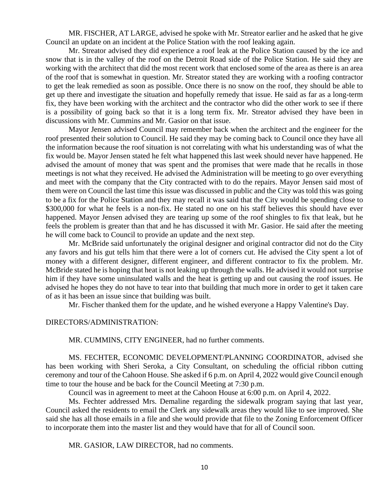MR. FISCHER, AT LARGE, advised he spoke with Mr. Streator earlier and he asked that he give Council an update on an incident at the Police Station with the roof leaking again.

Mr. Streator advised they did experience a roof leak at the Police Station caused by the ice and snow that is in the valley of the roof on the Detroit Road side of the Police Station. He said they are working with the architect that did the most recent work that enclosed some of the area as there is an area of the roof that is somewhat in question. Mr. Streator stated they are working with a roofing contractor to get the leak remedied as soon as possible. Once there is no snow on the roof, they should be able to get up there and investigate the situation and hopefully remedy that issue. He said as far as a long-term fix, they have been working with the architect and the contractor who did the other work to see if there is a possibility of going back so that it is a long term fix. Mr. Streator advised they have been in discussions with Mr. Cummins and Mr. Gasior on that issue.

Mayor Jensen advised Council may remember back when the architect and the engineer for the roof presented their solution to Council. He said they may be coming back to Council once they have all the information because the roof situation is not correlating with what his understanding was of what the fix would be. Mayor Jensen stated he felt what happened this last week should never have happened. He advised the amount of money that was spent and the promises that were made that he recalls in those meetings is not what they received. He advised the Administration will be meeting to go over everything and meet with the company that the City contracted with to do the repairs. Mayor Jensen said most of them were on Council the last time this issue was discussed in public and the City was told this was going to be a fix for the Police Station and they may recall it was said that the City would be spending close to \$300,000 for what he feels is a non-fix. He stated no one on his staff believes this should have ever happened. Mayor Jensen advised they are tearing up some of the roof shingles to fix that leak, but he feels the problem is greater than that and he has discussed it with Mr. Gasior. He said after the meeting he will come back to Council to provide an update and the next step.

Mr. McBride said unfortunately the original designer and original contractor did not do the City any favors and his gut tells him that there were a lot of corners cut. He advised the City spent a lot of money with a different designer, different engineer, and different contractor to fix the problem. Mr. McBride stated he is hoping that heat is not leaking up through the walls. He advised it would not surprise him if they have some uninsulated walls and the heat is getting up and out causing the roof issues. He advised he hopes they do not have to tear into that building that much more in order to get it taken care of as it has been an issue since that building was built.

Mr. Fischer thanked them for the update, and he wished everyone a Happy Valentine's Day.

DIRECTORS/ADMINISTRATION:

MR. CUMMINS, CITY ENGINEER, had no further comments.

MS. FECHTER, ECONOMIC DEVELOPMENT/PLANNING COORDINATOR, advised she has been working with Sheri Seroka, a City Consultant, on scheduling the official ribbon cutting ceremony and tour of the Cahoon House. She asked if 6 p.m. on April 4, 2022 would give Council enough time to tour the house and be back for the Council Meeting at 7:30 p.m.

Council was in agreement to meet at the Cahoon House at 6:00 p.m. on April 4, 2022.

Ms. Fechter addressed Mrs. Demaline regarding the sidewalk program saying that last year, Council asked the residents to email the Clerk any sidewalk areas they would like to see improved. She said she has all those emails in a file and she would provide that file to the Zoning Enforcement Officer to incorporate them into the master list and they would have that for all of Council soon.

MR. GASIOR, LAW DIRECTOR, had no comments.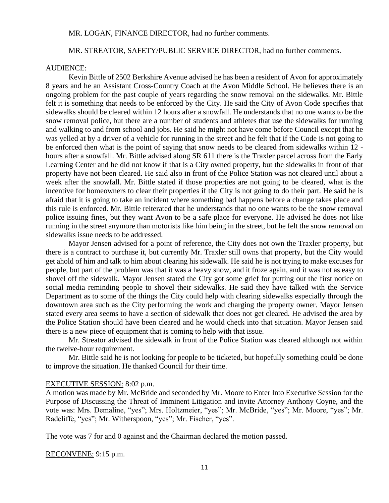#### MR. LOGAN, FINANCE DIRECTOR, had no further comments.

#### MR. STREATOR, SAFETY/PUBLIC SERVICE DIRECTOR, had no further comments.

#### AUDIENCE:

Kevin Bittle of 2502 Berkshire Avenue advised he has been a resident of Avon for approximately 8 years and he an Assistant Cross-Country Coach at the Avon Middle School. He believes there is an ongoing problem for the past couple of years regarding the snow removal on the sidewalks. Mr. Bittle felt it is something that needs to be enforced by the City. He said the City of Avon Code specifies that sidewalks should be cleared within 12 hours after a snowfall. He understands that no one wants to be the snow removal police, but there are a number of students and athletes that use the sidewalks for running and walking to and from school and jobs. He said he might not have come before Council except that he was yelled at by a driver of a vehicle for running in the street and he felt that if the Code is not going to be enforced then what is the point of saying that snow needs to be cleared from sidewalks within 12 hours after a snowfall. Mr. Bittle advised along SR 611 there is the Traxler parcel across from the Early Learning Center and he did not know if that is a City owned property, but the sidewalks in front of that property have not been cleared. He said also in front of the Police Station was not cleared until about a week after the snowfall. Mr. Bittle stated if those properties are not going to be cleared, what is the incentive for homeowners to clear their properties if the City is not going to do their part. He said he is afraid that it is going to take an incident where something bad happens before a change takes place and this rule is enforced. Mr. Bittle reiterated that he understands that no one wants to be the snow removal police issuing fines, but they want Avon to be a safe place for everyone. He advised he does not like running in the street anymore than motorists like him being in the street, but he felt the snow removal on sidewalks issue needs to be addressed.

Mayor Jensen advised for a point of reference, the City does not own the Traxler property, but there is a contract to purchase it, but currently Mr. Traxler still owns that property, but the City would get ahold of him and talk to him about clearing his sidewalk. He said he is not trying to make excuses for people, but part of the problem was that it was a heavy snow, and it froze again, and it was not as easy to shovel off the sidewalk. Mayor Jensen stated the City got some grief for putting out the first notice on social media reminding people to shovel their sidewalks. He said they have talked with the Service Department as to some of the things the City could help with clearing sidewalks especially through the downtown area such as the City performing the work and charging the property owner. Mayor Jensen stated every area seems to have a section of sidewalk that does not get cleared. He advised the area by the Police Station should have been cleared and he would check into that situation. Mayor Jensen said there is a new piece of equipment that is coming to help with that issue.

Mr. Streator advised the sidewalk in front of the Police Station was cleared although not within the twelve-hour requirement.

Mr. Bittle said he is not looking for people to be ticketed, but hopefully something could be done to improve the situation. He thanked Council for their time.

#### EXECUTIVE SESSION: 8:02 p.m.

A motion was made by Mr. McBride and seconded by Mr. Moore to Enter Into Executive Session for the Purpose of Discussing the Threat of Imminent Litigation and invite Attorney Anthony Coyne, and the vote was: Mrs. Demaline, "yes"; Mrs. Holtzmeier, "yes"; Mr. McBride, "yes"; Mr. Moore, "yes"; Mr. Radcliffe, "yes"; Mr. Witherspoon, "yes"; Mr. Fischer, "yes".

The vote was 7 for and 0 against and the Chairman declared the motion passed.

RECONVENE: 9:15 p.m.